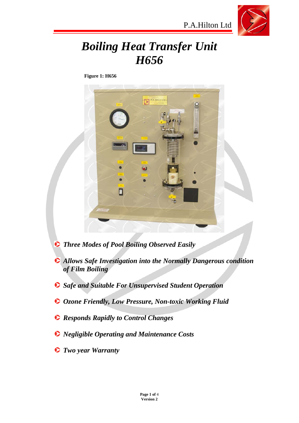

# *Boiling Heat Transfer Unit H656*

**Figure 1: H656** 



- *Three Modes of Pool Boiling Observed Easily*
- *Allows Safe Investigation into the Normally Dangerous condition of Film Boiling*
- *Safe and Suitable For Unsupervised Student Operation*
- *Ozone Friendly, Low Pressure, Non-toxic Working Fluid*
- *Responds Rapidly to Control Changes*
- *Negligible Operating and Maintenance Costs*
- *Two year Warranty*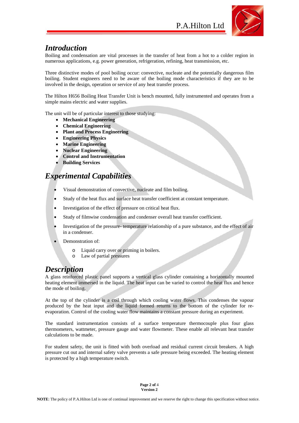

#### *Introduction*

Boiling and condensation are vital processes in the transfer of heat from a hot to a colder region in numerous applications, e.g. power generation, refrigeration, refining, heat transmission, etc.

Three distinctive modes of pool boiling occur: convective, nucleate and the potentially dangerous film boiling. Student engineers need to be aware of the boiling mode characteristics if they are to be involved in the design, operation or service of any heat transfer process.

The Hilton H656 Boiling Heat Transfer Unit is bench mounted, fully instrumented and operates from a simple mains electric and water supplies.

The unit will be of particular interest to those studying:

- **Mechanical Engineering**
- **Chemical Engineering**
- **Plant and Process Engineering**
- **Engineering Physics**
- **Marine Engineering**
- **Nuclear Engineering**
- **Control and Instrumentation**
- **Building Services**

#### *Experimental Capabilities*

- Visual demonstration of convective, nucleate and film boiling.
- Study of the heat flux and surface heat transfer coefficient at constant temperature.
- Investigation of the effect of pressure on critical heat flux.
- Study of filmwise condensation and condenser overall heat transfer coefficient.
- Investigation of the pressure- temperature relationship of a pure substance, and the effect of air in a condenser.
- Demonstration of:
	- Liquid carry over or priming in boilers.
	- o Law of partial pressures

#### *Description*

A glass reinforced plastic panel supports a vertical glass cylinder containing a horizontally mounted heating element immersed in the liquid. The heat input can be varied to control the heat flux and hence the mode of boiling.

At the top of the cylinder is a coil through which cooling water flows. This condenses the vapour produced by the heat input and the liquid formed returns to the bottom of the cylinder for reevaporation. Control of the cooling water flow maintains a constant pressure during an experiment.

The standard instrumentation consists of a surface temperature thermocouple plus four glass thermometers, wattmeter, pressure gauge and water flowmeter. These enable all relevant heat transfer calculations to be made.

For student safety, the unit is fitted with both overload and residual current circuit breakers. A high pressure cut out and internal safety valve prevents a safe pressure being exceeded. The heating element is protected by a high temperature switch.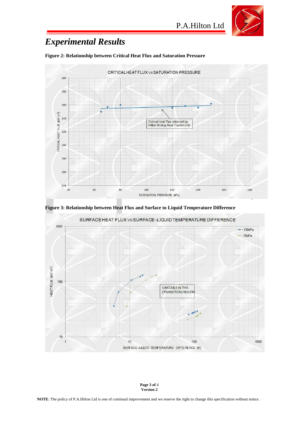

P.A.Hilton Ltd

# *Experimental Results*



**Figure 2: Relationship between Critical Heat Flux and Saturation Pressure** 

**Figure 3: Relationship between Heat Flux and Surface to Liquid Temperature Difference** 



**Page 3 of** 4 **Version 2**